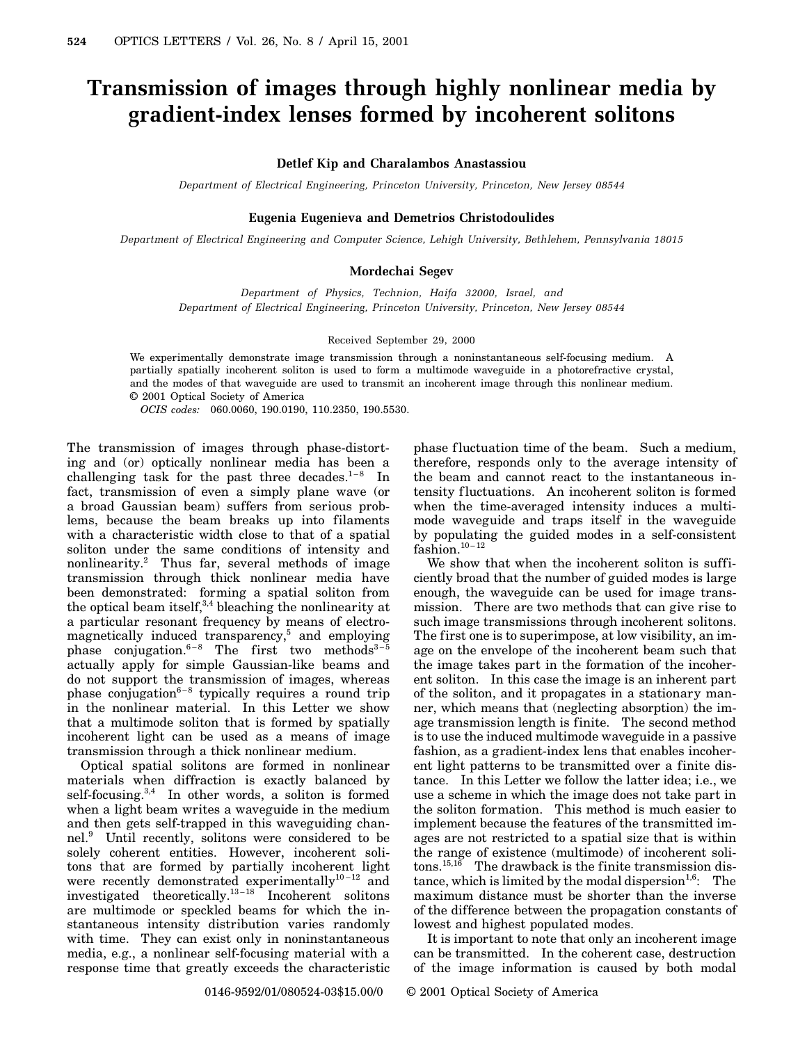# **Transmission of images through highly nonlinear media by gradient-index lenses formed by incoherent solitons**

# **Detlef Kip and Charalambos Anastassiou**

*Department of Electrical Engineering, Princeton University, Princeton, New Jersey 08544*

## **Eugenia Eugenieva and Demetrios Christodoulides**

*Department of Electrical Engineering and Computer Science, Lehigh University, Bethlehem, Pennsylvania 18015*

## **Mordechai Segev**

*Department of Physics, Technion, Haifa 32000, Israel, and Department of Electrical Engineering, Princeton University, Princeton, New Jersey 08544*

#### Received September 29, 2000

We experimentally demonstrate image transmission through a noninstantaneous self-focusing medium. A partially spatially incoherent soliton is used to form a multimode waveguide in a photorefractive crystal, and the modes of that waveguide are used to transmit an incoherent image through this nonlinear medium. © 2001 Optical Society of America

*OCIS codes:* 060.0060, 190.0190, 110.2350, 190.5530.

The transmission of images through phase-distorting and (or) optically nonlinear media has been a challenging task for the past three decades. $1-8$  In fact, transmission of even a simply plane wave (or a broad Gaussian beam) suffers from serious problems, because the beam breaks up into filaments with a characteristic width close to that of a spatial soliton under the same conditions of intensity and nonlinearity.2 Thus far, several methods of image transmission through thick nonlinear media have been demonstrated: forming a spatial soliton from the optical beam itself, $3,4$  bleaching the nonlinearity at a particular resonant frequency by means of electromagnetically induced transparency,<sup>5</sup> and employing phase conjugation.<sup>6–8</sup> The first two methods<sup>3–5</sup> actually apply for simple Gaussian-like beams and do not support the transmission of images, whereas phase conjugation $6-8$  typically requires a round trip in the nonlinear material. In this Letter we show that a multimode soliton that is formed by spatially incoherent light can be used as a means of image transmission through a thick nonlinear medium.

Optical spatial solitons are formed in nonlinear materials when diffraction is exactly balanced by self-focusing. $3,4$  In other words, a soliton is formed when a light beam writes a waveguide in the medium and then gets self-trapped in this waveguiding channel.<sup>9</sup> Until recently, solitons were considered to be solely coherent entities. However, incoherent solitons that are formed by partially incoherent light were recently demonstrated experimentally<sup>10-12</sup> and investigated theoretically.<sup>13-18</sup> Incoherent solitons are multimode or speckled beams for which the instantaneous intensity distribution varies randomly with time. They can exist only in noninstantaneous media, e.g., a nonlinear self-focusing material with a response time that greatly exceeds the characteristic

phase fluctuation time of the beam. Such a medium, therefore, responds only to the average intensity of the beam and cannot react to the instantaneous intensity fluctuations. An incoherent soliton is formed when the time-averaged intensity induces a multimode waveguide and traps itself in the waveguide by populating the guided modes in a self-consistent fashion. $10 - 12$ 

We show that when the incoherent soliton is sufficiently broad that the number of guided modes is large enough, the waveguide can be used for image transmission. There are two methods that can give rise to such image transmissions through incoherent solitons. The first one is to superimpose, at low visibility, an image on the envelope of the incoherent beam such that the image takes part in the formation of the incoherent soliton. In this case the image is an inherent part of the soliton, and it propagates in a stationary manner, which means that (neglecting absorption) the image transmission length is finite. The second method is to use the induced multimode waveguide in a passive fashion, as a gradient-index lens that enables incoherent light patterns to be transmitted over a finite distance. In this Letter we follow the latter idea; i.e., we use a scheme in which the image does not take part in the soliton formation. This method is much easier to implement because the features of the transmitted images are not restricted to a spatial size that is within the range of existence (multimode) of incoherent soli $tons.<sup>15,16</sup>$  The drawback is the finite transmission distance, which is limited by the modal dispersion<sup>1,6</sup>: The maximum distance must be shorter than the inverse of the difference between the propagation constants of lowest and highest populated modes.

It is important to note that only an incoherent image can be transmitted. In the coherent case, destruction of the image information is caused by both modal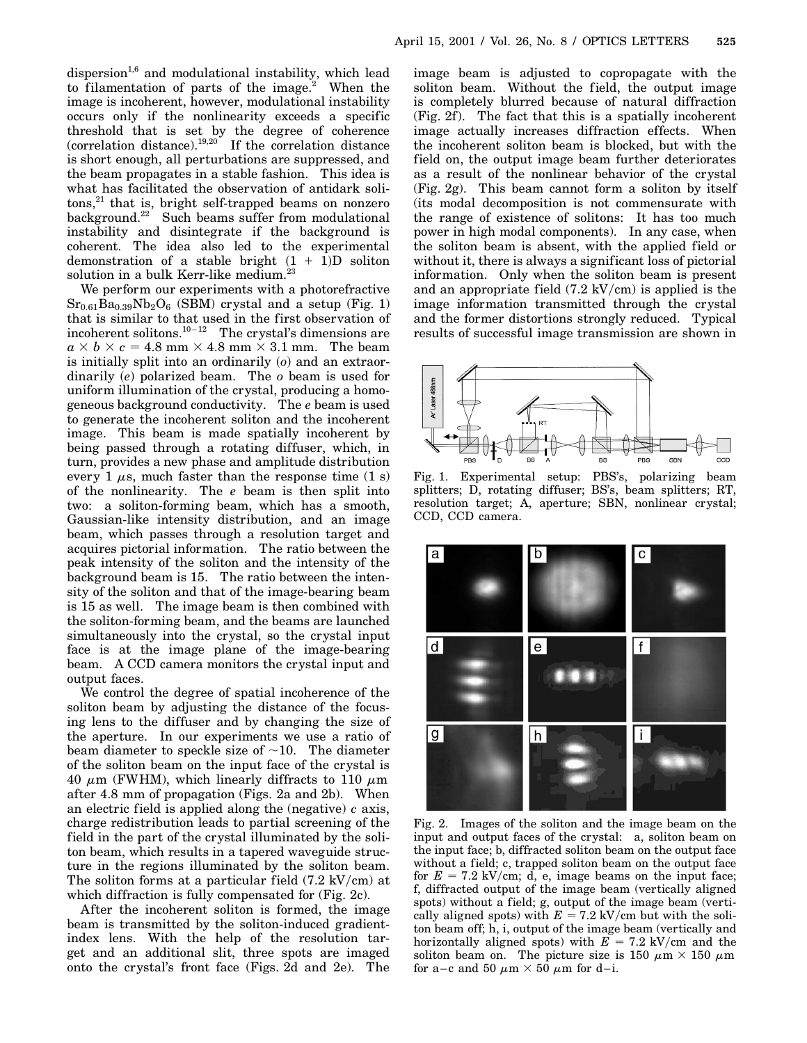dispersion<sup>1,6</sup> and modulational instability, which lead to filamentation of parts of the image.<sup>2</sup> When the image is incoherent, however, modulational instability occurs only if the nonlinearity exceeds a specific threshold that is set by the degree of coherence (correlation distance). $19,20$  If the correlation distance is short enough, all perturbations are suppressed, and the beam propagates in a stable fashion. This idea is what has facilitated the observation of antidark soli $tons<sup>21</sup>$ , that is, bright self-trapped beams on nonzero background.<sup>22</sup> Such beams suffer from modulational instability and disintegrate if the background is coherent. The idea also led to the experimental demonstration of a stable bright  $(1 + 1)D$  soliton solution in a bulk Kerr-like medium.<sup>23</sup>

We perform our experiments with a photorefractive  $Sr<sub>0.61</sub>Ba<sub>0.39</sub>Nb<sub>2</sub>O<sub>6</sub>$  (SBM) crystal and a setup (Fig. 1) that is similar to that used in the first observation of incoherent solitons.<sup>10-12</sup> The crystal's dimensions are  $a \times b \times c = 4.8$  mm  $\times$  4.8 mm  $\times$  3.1 mm. The beam is initially split into an ordinarily (o) and an extraordinarily (e) polarized beam. The *o* beam is used for uniform illumination of the crystal, producing a homogeneous background conductivity. The *e* beam is used to generate the incoherent soliton and the incoherent image. This beam is made spatially incoherent by being passed through a rotating diffuser, which, in turn, provides a new phase and amplitude distribution every 1  $\mu$ s, much faster than the response time (1 s) of the nonlinearity. The *e* beam is then split into two: a soliton-forming beam, which has a smooth, Gaussian-like intensity distribution, and an image beam, which passes through a resolution target and acquires pictorial information. The ratio between the peak intensity of the soliton and the intensity of the background beam is 15. The ratio between the intensity of the soliton and that of the image-bearing beam is 15 as well. The image beam is then combined with the soliton-forming beam, and the beams are launched simultaneously into the crystal, so the crystal input face is at the image plane of the image-bearing beam. A CCD camera monitors the crystal input and output faces.

We control the degree of spatial incoherence of the soliton beam by adjusting the distance of the focusing lens to the diffuser and by changing the size of the aperture. In our experiments we use a ratio of beam diameter to speckle size of  $\sim$ 10. The diameter of the soliton beam on the input face of the crystal is 40  $\mu$ m (FWHM), which linearly diffracts to 110  $\mu$ m after 4.8 mm of propagation (Figs. 2a and 2b). When an electric field is applied along the (negative) *c* axis, charge redistribution leads to partial screening of the field in the part of the crystal illuminated by the soliton beam, which results in a tapered waveguide structure in the regions illuminated by the soliton beam. The soliton forms at a particular field  $(7.2 \text{ kV/cm})$  at which diffraction is fully compensated for (Fig. 2c).

After the incoherent soliton is formed, the image beam is transmitted by the soliton-induced gradientindex lens. With the help of the resolution target and an additional slit, three spots are imaged onto the crystal's front face (Figs. 2d and 2e). The

image beam is adjusted to copropagate with the soliton beam. Without the field, the output image is completely blurred because of natural diffraction (Fig. 2f). The fact that this is a spatially incoherent image actually increases diffraction effects. When the incoherent soliton beam is blocked, but with the field on, the output image beam further deteriorates as a result of the nonlinear behavior of the crystal (Fig. 2g). This beam cannot form a soliton by itself (its modal decomposition is not commensurate with the range of existence of solitons: It has too much power in high modal components). In any case, when the soliton beam is absent, with the applied field or without it, there is always a significant loss of pictorial information. Only when the soliton beam is present and an appropriate field  $(7.2 \text{ kV/cm})$  is applied is the image information transmitted through the crystal and the former distortions strongly reduced. Typical results of successful image transmission are shown in



Fig. 1. Experimental setup: PBS's, polarizing beam splitters; D, rotating diffuser; BS's, beam splitters; RT, resolution target; A, aperture; SBN, nonlinear crystal; CCD, CCD camera.



Fig. 2. Images of the soliton and the image beam on the input and output faces of the crystal: a, soliton beam on the input face; b, diffracted soliton beam on the output face without a field; c, trapped soliton beam on the output face for  $E = 7.2$  kV/cm; d, e, image beams on the input face; f, diffracted output of the image beam (vertically aligned spots) without a field; g, output of the image beam (vertically aligned spots) with  $E = 7.2$  kV/cm but with the soliton beam off; h, i, output of the image beam (vertically and horizontally aligned spots) with  $E = 7.2$  kV/cm and the soliton beam on. The picture size is 150  $\mu$ m  $\times$  150  $\mu$ m for a–c and 50  $\mu$ m  $\times$  50  $\mu$ m for d–i.